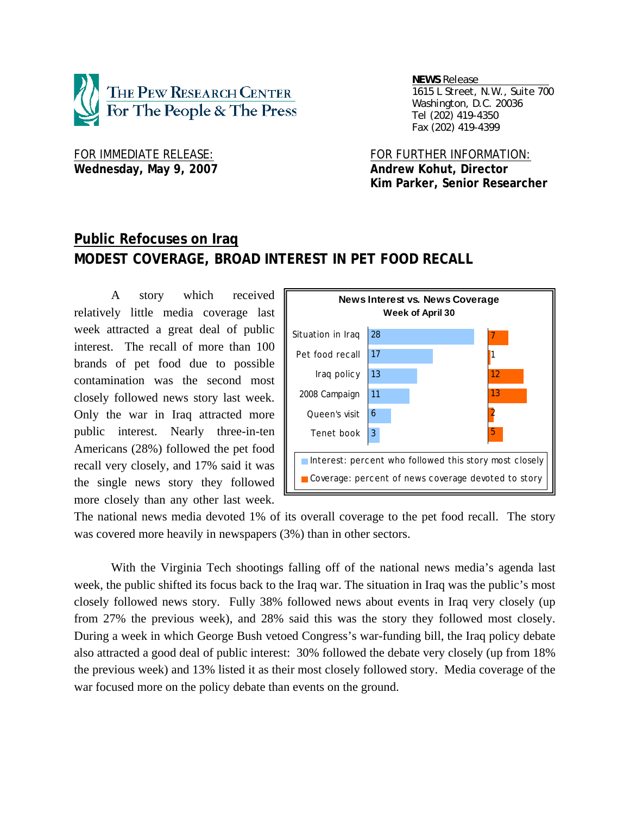

 *NEWS Release . 1615 L Street, N.W., Suite 700 Washington, D.C. 20036 Tel (202) 419-4350 Fax (202) 419-4399*

Wednesday, May 9, 2007 **Andrew Kohut, Director** 

FOR IMMEDIATE RELEASE: FOR FURTHER INFORMATION:  **Kim Parker, Senior Researcher** 

# **Public Refocuses on Iraq MODEST COVERAGE, BROAD INTEREST IN PET FOOD RECALL**

 A story which received relatively little media coverage last week attracted a great deal of public interest. The recall of more than 100 brands of pet food due to possible contamination was the second most closely followed news story last week. Only the war in Iraq attracted more public interest. Nearly three-in-ten Americans (28%) followed the pet food recall very closely, and 17% said it was the single news story they followed more closely than any other last week.



The national news media devoted 1% of its overall coverage to the pet food recall. The story was covered more heavily in newspapers (3%) than in other sectors.

With the Virginia Tech shootings falling off of the national news media's agenda last week, the public shifted its focus back to the Iraq war. The situation in Iraq was the public's most closely followed news story. Fully 38% followed news about events in Iraq very closely (up from 27% the previous week), and 28% said this was the story they followed most closely. During a week in which George Bush vetoed Congress's war-funding bill, the Iraq policy debate also attracted a good deal of public interest: 30% followed the debate very closely (up from 18% the previous week) and 13% listed it as their most closely followed story. Media coverage of the war focused more on the policy debate than events on the ground.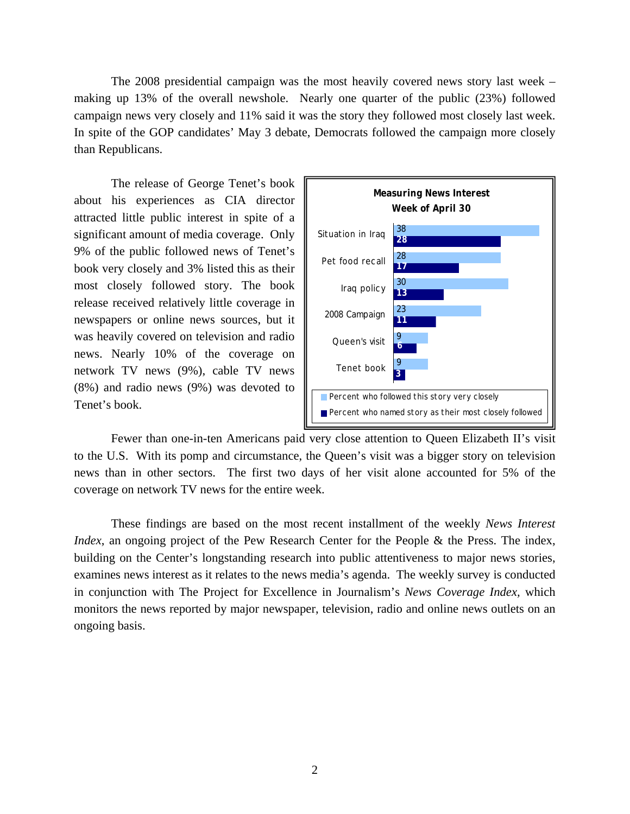The 2008 presidential campaign was the most heavily covered news story last week – making up 13% of the overall newshole. Nearly one quarter of the public (23%) followed campaign news very closely and 11% said it was the story they followed most closely last week. In spite of the GOP candidates' May 3 debate, Democrats followed the campaign more closely than Republicans.

 The release of George Tenet's book about his experiences as CIA director attracted little public interest in spite of a significant amount of media coverage. Only 9% of the public followed news of Tenet's book very closely and 3% listed this as their most closely followed story. The book release received relatively little coverage in newspapers or online news sources, but it was heavily covered on television and radio news. Nearly 10% of the coverage on network TV news (9%), cable TV news (8%) and radio news (9%) was devoted to Tenet's book.



 Fewer than one-in-ten Americans paid very close attention to Queen Elizabeth II's visit to the U.S. With its pomp and circumstance, the Queen's visit was a bigger story on television news than in other sectors. The first two days of her visit alone accounted for 5% of the coverage on network TV news for the entire week.

These findings are based on the most recent installment of the weekly *News Interest Index*, an ongoing project of the Pew Research Center for the People & the Press. The index, building on the Center's longstanding research into public attentiveness to major news stories, examines news interest as it relates to the news media's agenda. The weekly survey is conducted in conjunction with The Project for Excellence in Journalism's *News Coverage Index,* which monitors the news reported by major newspaper, television, radio and online news outlets on an ongoing basis.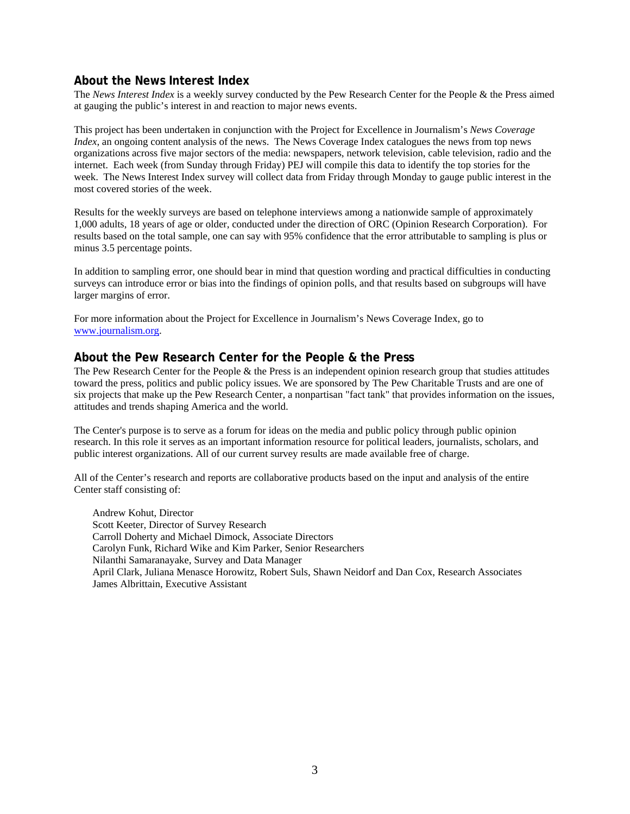# **About the News Interest Index**

The *News Interest Index* is a weekly survey conducted by the Pew Research Center for the People & the Press aimed at gauging the public's interest in and reaction to major news events.

This project has been undertaken in conjunction with the Project for Excellence in Journalism's *News Coverage Index*, an ongoing content analysis of the news. The News Coverage Index catalogues the news from top news organizations across five major sectors of the media: newspapers, network television, cable television, radio and the internet. Each week (from Sunday through Friday) PEJ will compile this data to identify the top stories for the week. The News Interest Index survey will collect data from Friday through Monday to gauge public interest in the most covered stories of the week.

Results for the weekly surveys are based on telephone interviews among a nationwide sample of approximately 1,000 adults, 18 years of age or older, conducted under the direction of ORC (Opinion Research Corporation). For results based on the total sample, one can say with 95% confidence that the error attributable to sampling is plus or minus 3.5 percentage points.

In addition to sampling error, one should bear in mind that question wording and practical difficulties in conducting surveys can introduce error or bias into the findings of opinion polls, and that results based on subgroups will have larger margins of error.

For more information about the Project for Excellence in Journalism's News Coverage Index, go to www.journalism.org.

## **About the Pew Research Center for the People & the Press**

The Pew Research Center for the People  $\&$  the Press is an independent opinion research group that studies attitudes toward the press, politics and public policy issues. We are sponsored by The Pew Charitable Trusts and are one of six projects that make up the Pew Research Center, a nonpartisan "fact tank" that provides information on the issues, attitudes and trends shaping America and the world.

The Center's purpose is to serve as a forum for ideas on the media and public policy through public opinion research. In this role it serves as an important information resource for political leaders, journalists, scholars, and public interest organizations. All of our current survey results are made available free of charge.

All of the Center's research and reports are collaborative products based on the input and analysis of the entire Center staff consisting of:

 Andrew Kohut, Director Scott Keeter, Director of Survey Research Carroll Doherty and Michael Dimock, Associate Directors Carolyn Funk, Richard Wike and Kim Parker, Senior Researchers Nilanthi Samaranayake, Survey and Data Manager April Clark, Juliana Menasce Horowitz, Robert Suls, Shawn Neidorf and Dan Cox, Research Associates James Albrittain, Executive Assistant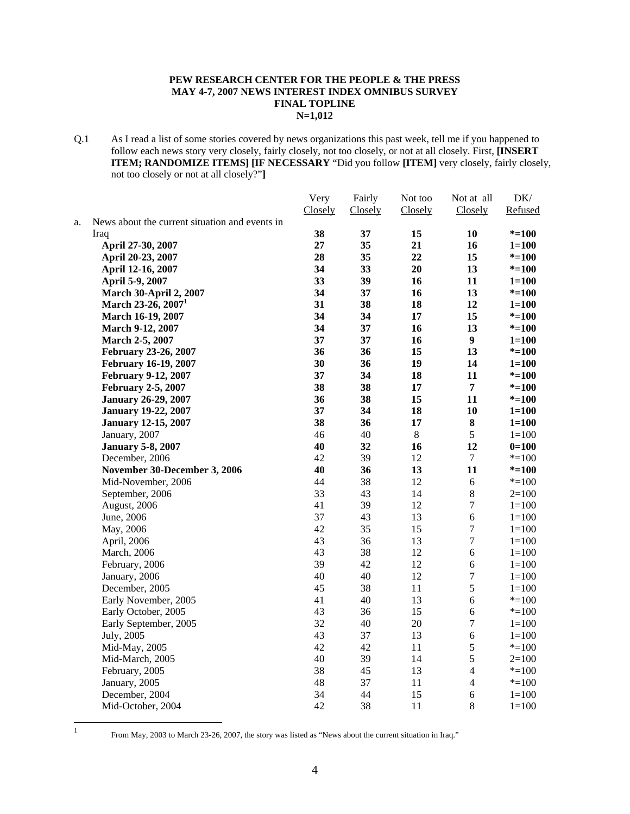#### **PEW RESEARCH CENTER FOR THE PEOPLE & THE PRESS MAY 4-7, 2007 NEWS INTEREST INDEX OMNIBUS SURVEY FINAL TOPLINE N=1,012**

Q.1 As I read a list of some stories covered by news organizations this past week, tell me if you happened to follow each news story very closely, fairly closely, not too closely, or not at all closely. First, **[INSERT ITEM; RANDOMIZE ITEMS] [IF NECESSARY** "Did you follow **[ITEM]** very closely, fairly closely, not too closely or not at all closely?"**]**

|    |                                                | Very    | Fairly  | Not too | Not at all       | DK/       |
|----|------------------------------------------------|---------|---------|---------|------------------|-----------|
|    |                                                | Closely | Closely | Closely | Closely          | Refused   |
| a. | News about the current situation and events in |         |         |         |                  |           |
|    | Iraq                                           | 38      | 37      | 15      | 10               | $* = 100$ |
|    | April 27-30, 2007                              | 27      | 35      | 21      | 16               | $1 = 100$ |
|    | April 20-23, 2007                              | 28      | 35      | 22      | 15               | $* = 100$ |
|    | April 12-16, 2007                              | 34      | 33      | 20      | 13               | $* = 100$ |
|    | April 5-9, 2007                                | 33      | 39      | 16      | 11               | $1 = 100$ |
|    | <b>March 30-April 2, 2007</b>                  | 34      | 37      | 16      | 13               | $* = 100$ |
|    | March 23-26, 2007 <sup>1</sup>                 | 31      | 38      | 18      | 12               | $1 = 100$ |
|    | March 16-19, 2007                              | 34      | 34      | 17      | 15               | $* = 100$ |
|    | March 9-12, 2007                               | 34      | 37      | 16      | 13               | $* = 100$ |
|    | March 2-5, 2007                                | 37      | 37      | 16      | 9                | $1 = 100$ |
|    | February 23-26, 2007                           | 36      | 36      | 15      | 13               | $* = 100$ |
|    | <b>February 16-19, 2007</b>                    | 30      | 36      | 19      | 14               | $1 = 100$ |
|    | February 9-12, 2007                            | 37      | 34      | 18      | 11               | $* = 100$ |
|    | <b>February 2-5, 2007</b>                      | 38      | 38      | 17      | $\overline{7}$   | $* = 100$ |
|    | <b>January 26-29, 2007</b>                     | 36      | 38      | 15      | 11               | $* = 100$ |
|    | <b>January 19-22, 2007</b>                     | 37      | 34      | 18      | 10               | $1 = 100$ |
|    | <b>January 12-15, 2007</b>                     | 38      | 36      | 17      | $\bf 8$          | $1 = 100$ |
|    | January, 2007                                  | 46      | 40      | $8\,$   | 5                | $1 = 100$ |
|    | <b>January 5-8, 2007</b>                       | 40      | 32      | 16      | 12               | $0=100$   |
|    | December, 2006                                 | 42      | 39      | 12      | 7                | $* = 100$ |
|    | November 30-December 3, 2006                   | 40      | 36      | 13      | 11               | $* = 100$ |
|    | Mid-November, 2006                             | 44      | 38      | 12      | 6                | $* = 100$ |
|    | September, 2006                                | 33      | 43      | 14      | $8\,$            | $2=100$   |
|    | August, 2006                                   | 41      | 39      | 12      | $\tau$           | $1 = 100$ |
|    | June, 2006                                     | 37      | 43      | 13      | 6                | $1 = 100$ |
|    | May, 2006                                      | 42      | 35      | 15      | $\boldsymbol{7}$ | $1 = 100$ |
|    | April, 2006                                    | 43      | 36      | 13      | $\boldsymbol{7}$ | $1 = 100$ |
|    | March, 2006                                    | 43      | 38      | 12      | 6                | $1 = 100$ |
|    | February, 2006                                 | 39      | 42      | 12      | $\sqrt{6}$       | $1 = 100$ |
|    | January, 2006                                  | 40      | 40      | 12      | $\boldsymbol{7}$ | $1 = 100$ |
|    | December, 2005                                 | 45      | 38      | 11      | 5                | $1 = 100$ |
|    | Early November, 2005                           | 41      | 40      | 13      | $\sqrt{6}$       | $* = 100$ |
|    | Early October, 2005                            | 43      | 36      | 15      | $\epsilon$       | $* = 100$ |
|    | Early September, 2005                          | 32      | 40      | 20      | $\boldsymbol{7}$ | $1 = 100$ |
|    | July, 2005                                     | 43      | 37      | 13      | $\sqrt{6}$       | $1=100$   |
|    | Mid-May, 2005                                  | 42      | 42      | 11      | 5                | $* = 100$ |
|    | Mid-March, 2005                                | 40      | 39      | 14      | 5                | $2=100$   |
|    | February, 2005                                 | 38      | 45      | 13      | $\overline{4}$   | $* = 100$ |
|    | January, 2005                                  | 48      | 37      | 11      | $\overline{4}$   | $* = 100$ |
|    | December, 2004                                 | 34      | 44      | 15      | $\sqrt{6}$       | $1 = 100$ |
|    | Mid-October, 2004                              | 42      | 38      | 11      | 8                | $1 = 100$ |
|    |                                                |         |         |         |                  |           |

 $\frac{1}{1}$ 

From May, 2003 to March 23-26, 2007, the story was listed as "News about the current situation in Iraq."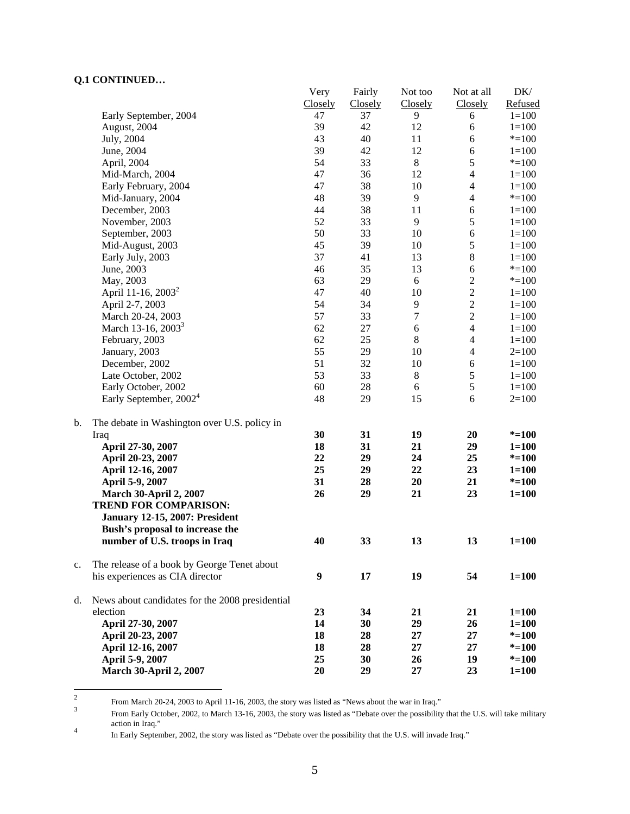# **Q.1 CONTINUED…**

|    |                                                 | Very    | Fairly  | Not too          | Not at all               | DK/       |
|----|-------------------------------------------------|---------|---------|------------------|--------------------------|-----------|
|    |                                                 | Closely | Closely | Closely          | Closely                  | Refused   |
|    | Early September, 2004                           | 47      | 37      | 9                | 6                        | $1 = 100$ |
|    | August, 2004                                    | 39      | 42      | 12               | 6                        | $1 = 100$ |
|    | July, 2004                                      | 43      | 40      | 11               | 6                        | $* = 100$ |
|    | June, 2004                                      | 39      | 42      | 12               | 6                        | $1 = 100$ |
|    | April, 2004                                     | 54      | 33      | $\,8\,$          | 5                        | $* = 100$ |
|    | Mid-March, 2004                                 | 47      | 36      | 12               | $\overline{4}$           | $1 = 100$ |
|    | Early February, 2004                            | 47      | 38      | 10               | $\overline{4}$           | $1 = 100$ |
|    | Mid-January, 2004                               | 48      | 39      | 9                | $\overline{\mathcal{L}}$ | $* = 100$ |
|    | December, 2003                                  | 44      | 38      | 11               | $\boldsymbol{6}$         | $1 = 100$ |
|    | November, 2003                                  | 52      | 33      | $\overline{9}$   | $\mathfrak s$            | $1 = 100$ |
|    | September, 2003                                 | 50      | 33      | 10               | 6                        | $1 = 100$ |
|    | Mid-August, 2003                                | 45      | 39      | 10               | 5                        | $1 = 100$ |
|    | Early July, 2003                                | 37      | 41      | 13               | $8\,$                    | $1 = 100$ |
|    | June, 2003                                      | 46      | 35      | 13               | $\sqrt{6}$               | $* = 100$ |
|    | May, 2003                                       | 63      | 29      | 6                | $\overline{c}$           | $* = 100$ |
|    | April 11-16, 2003 <sup>2</sup>                  | 47      | 40      | 10               | $\overline{c}$           | $1 = 100$ |
|    | April 2-7, 2003                                 | 54      | 34      | $\overline{9}$   | $\overline{c}$           | $1 = 100$ |
|    | March 20-24, 2003                               | 57      | 33      | $\boldsymbol{7}$ | $\overline{c}$           | $1 = 100$ |
|    | March 13-16, 2003 <sup>3</sup>                  | 62      | 27      | $\sqrt{6}$       | $\overline{\mathbf{4}}$  | $1 = 100$ |
|    | February, 2003                                  | 62      | 25      | $\,8\,$          | $\overline{\mathcal{L}}$ | $1 = 100$ |
|    | January, 2003                                   | 55      | 29      | 10               | $\overline{4}$           | $2=100$   |
|    | December, 2002                                  | 51      | 32      | 10               | 6                        | $1 = 100$ |
|    | Late October, 2002                              | 53      | 33      | $8\,$            |                          |           |
|    |                                                 |         |         |                  | $\sqrt{5}$               | $1 = 100$ |
|    | Early October, 2002                             | 60      | 28      | $\boldsymbol{6}$ | $\sqrt{5}$               | $1 = 100$ |
|    | Early September, 2002 <sup>4</sup>              | 48      | 29      | 15               | 6                        | $2=100$   |
| b. |                                                 |         |         |                  |                          |           |
|    | The debate in Washington over U.S. policy in    | 30      | 31      | 19               | 20                       | $* = 100$ |
|    | Iraq<br>April 27-30, 2007                       | 18      | 31      | 21               | 29                       | $1 = 100$ |
|    |                                                 | 22      | 29      | 24               | 25                       | $* = 100$ |
|    | April 20-23, 2007                               | 25      | 29      | 22               |                          |           |
|    | April 12-16, 2007                               | 31      | 28      | 20               | 23<br>21                 | $1 = 100$ |
|    | April 5-9, 2007                                 |         |         |                  |                          | $* = 100$ |
|    | <b>March 30-April 2, 2007</b>                   | 26      | 29      | 21               | 23                       | $1 = 100$ |
|    | <b>TREND FOR COMPARISON:</b>                    |         |         |                  |                          |           |
|    | <b>January 12-15, 2007: President</b>           |         |         |                  |                          |           |
|    | Bush's proposal to increase the                 |         |         |                  |                          |           |
|    | number of U.S. troops in Iraq                   | 40      | 33      | 13               | 13                       | $1 = 100$ |
| c. | The release of a book by George Tenet about     |         |         |                  |                          |           |
|    | his experiences as CIA director                 | 9       | 17      | 19               | 54                       | $1 = 100$ |
|    |                                                 |         |         |                  |                          |           |
| d. | News about candidates for the 2008 presidential |         |         |                  |                          |           |
|    | election                                        | 23      | 34      | 21               | 21                       | $1 = 100$ |
|    | April 27-30, 2007                               | 14      | 30      | 29               | 26                       | $1 = 100$ |
|    | April 20-23, 2007                               | 18      | 28      | 27               | 27                       | $* = 100$ |
|    | April 12-16, 2007                               | 18      | 28      | 27               | 27                       | $* = 100$ |
|    | April 5-9, 2007                                 | 25      | 30      | 26               | 19                       | $* = 100$ |
|    | <b>March 30-April 2, 2007</b>                   | 20      | 29      | 27               | 23                       | $1 = 100$ |
|    |                                                 |         |         |                  |                          |           |

 $\frac{1}{2}$ From March 20-24, 2003 to April 11-16, 2003, the story was listed as "News about the war in Iraq."

From Early October, 2002, to March 13-16, 2003, the story was listed as "Debate over the possibility that the U.S. will take military action in Iraq."

In Early September, 2002, the story was listed as "Debate over the possibility that the U.S. will invade Iraq."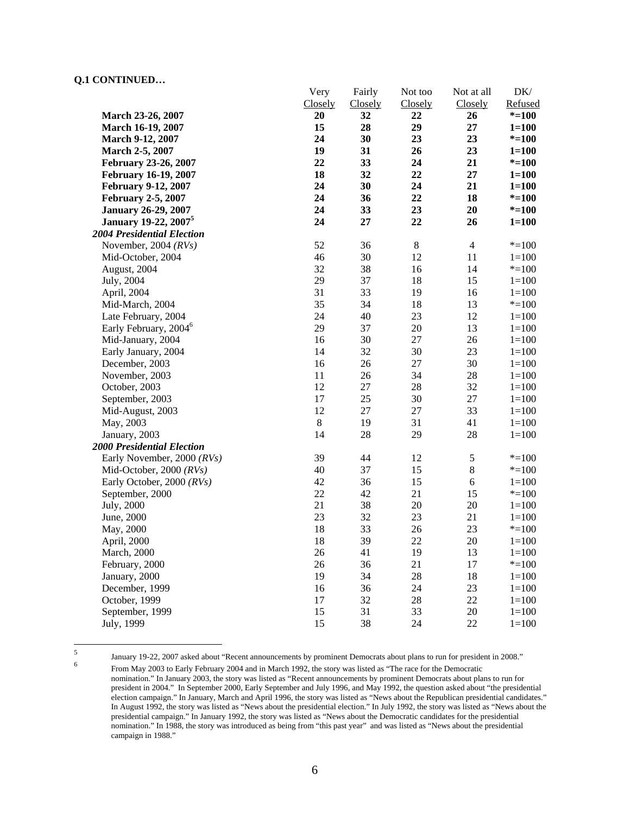### **Q.1 CONTINUED…**

|                                         | Very    | Fairly  | Not too     | Not at all     | DK/       |
|-----------------------------------------|---------|---------|-------------|----------------|-----------|
|                                         | Closely | Closely | Closely     | Closely        | Refused   |
| March 23-26, 2007                       | 20      | 32      | 22          | 26             | $* = 100$ |
| March 16-19, 2007                       | 15      | 28      | 29          | 27             | $1 = 100$ |
| March 9-12, 2007                        | 24      | 30      | 23          | 23             | $* = 100$ |
| March 2-5, 2007                         | 19      | 31      | 26          | 23             | $1 = 100$ |
| February 23-26, 2007                    | 22      | 33      | 24          | 21             | $* = 100$ |
| <b>February 16-19, 2007</b>             | 18      | 32      | 22          | 27             | $1 = 100$ |
| <b>February 9-12, 2007</b>              | 24      | 30      | 24          | 21             | $1 = 100$ |
| <b>February 2-5, 2007</b>               | 24      | 36      | 22          | 18             | $* = 100$ |
| <b>January 26-29, 2007</b>              | 24      | 33      | 23          | 20             | $* = 100$ |
| <b>January 19-22, 2007</b> <sup>5</sup> | 24      | 27      | 22          | 26             | $1 = 100$ |
| <b>2004 Presidential Election</b>       |         |         |             |                |           |
| November, 2004 $(RVs)$                  | 52      | 36      | $\,$ 8 $\,$ | $\overline{4}$ | $* = 100$ |
| Mid-October, 2004                       | 46      | 30      | 12          | 11             | $1 = 100$ |
| August, 2004                            | 32      | 38      | 16          | 14             | $* = 100$ |
| July, 2004                              | 29      | 37      | 18          | 15             | $1 = 100$ |
| April, 2004                             | 31      | 33      | 19          | 16             | $1 = 100$ |
| Mid-March, 2004                         | 35      | 34      | 18          | 13             | $* = 100$ |
| Late February, 2004                     | 24      | 40      | 23          | 12             | $1 = 100$ |
| Early February, 2004 <sup>6</sup>       | 29      | 37      | 20          | 13             | $1 = 100$ |
| Mid-January, 2004                       | 16      | 30      | 27          | 26             | $1 = 100$ |
| Early January, 2004                     | 14      | 32      | 30          | 23             | $1 = 100$ |
| December, 2003                          | 16      | 26      | 27          | 30             | $1 = 100$ |
| November, 2003                          | 11      | 26      | 34          | 28             | $1 = 100$ |
| October, 2003                           | 12      | 27      | 28          | 32             | $1 = 100$ |
| September, 2003                         | 17      | 25      | 30          | 27             | $1 = 100$ |
| Mid-August, 2003                        | 12      | 27      | 27          | 33             | $1 = 100$ |
| May, 2003                               | $\,8\,$ | 19      | 31          | 41             | $1 = 100$ |
| January, 2003                           | 14      | 28      | 29          | 28             | $1 = 100$ |
| <b>2000 Presidential Election</b>       |         |         |             |                |           |
| Early November, 2000 (RVs)              | 39      | 44      | 12          | $\sqrt{5}$     | $* = 100$ |
| Mid-October, 2000 (RVs)                 | 40      | 37      | 15          | $\,8\,$        | $* = 100$ |
| Early October, 2000 (RVs)               | 42      | 36      | 15          | $\sqrt{6}$     | $1 = 100$ |
| September, 2000                         | 22      | 42      | 21          | 15             | $* = 100$ |
| July, 2000                              | 21      | 38      | 20          | 20             | $1 = 100$ |
| June, 2000                              | 23      | 32      | 23          | 21             | $1 = 100$ |
| May, 2000                               | 18      | 33      | 26          | 23             | $* = 100$ |
| April, 2000                             | 18      | 39      | 22          | 20             | $1 = 100$ |
| March, 2000                             | 26      | 41      | 19          | 13             | $1 = 100$ |
| February, 2000                          | 26      | 36      | 21          | 17             | $* = 100$ |
| January, 2000                           | 19      | 34      | 28          | 18             | $1 = 100$ |
| December, 1999                          | 16      | 36      | 24          | 23             | $1 = 100$ |
| October, 1999                           | 17      | 32      | 28          | 22             | $1 = 100$ |
| September, 1999                         | 15      | 31      | 33          | $20\,$         | $1 = 100$ |
| July, 1999                              | 15      | 38      | 24          | 22             | $1 = 100$ |
|                                         |         |         |             |                |           |

January 19-22, 2007 asked about "Recent announcements by prominent Democrats about plans to run for president in 2008." From May 2003 to Early February 2004 and in March 1992, the story was listed as "The race for the Democratic nomination." In January 2003, the story was listed as "Recent announcements by prominent Democrats about plans to run for president in 2004." In September 2000, Early September and July 1996, and May 1992, the question asked about "the presidential election campaign." In January, March and April 1996, the story was listed as "News about the Republican presidential candidates." In August 1992, the story was listed as "News about the presidential election." In July 1992, the story was listed as "News about the presidential campaign." In January 1992, the story was listed as "News about the Democratic candidates for the presidential nomination." In 1988, the story was introduced as being from "this past year" and was listed as "News about the presidential campaign in 1988."

 5